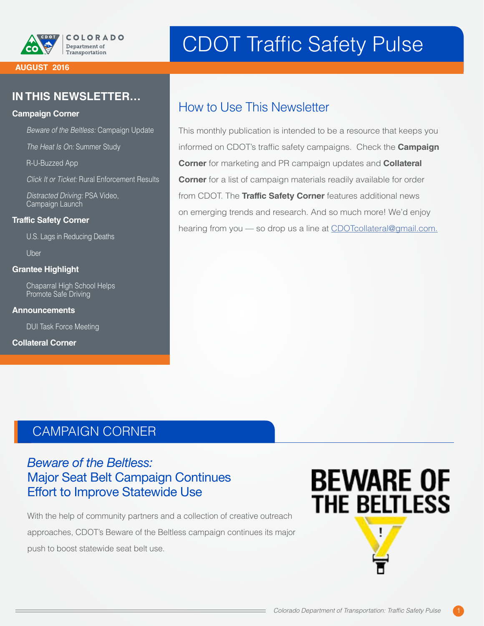

#### **AUGUST 2016**

#### **IN THIS NEWSLETTER…**

#### **Campaign Corner**

*Beware of the Beltless:* Campaign Update

*The Heat Is On:* Summer Study

R-U-Buzzed App

*Click It or Ticket:* Rural Enforcement Results

*Distracted Driving:* PSA Video, Campaign Launch

#### **Traffic Safety Corner**

U.S. Lags in Reducing Deaths

Uber

#### **Grantee Highlight**

Chaparral High School Helps Promote Safe Driving

**Announcements** 

DUI Task Force Meeting

**Collateral Corner**

# CDOT Traffic Safety Pulse

## How to Use This Newsletter

This monthly publication is intended to be a resource that keeps you informed on CDOT's traffic safety campaigns. Check the **Campaign Corner** for marketing and PR campaign updates and **Collateral Corner** for a list of campaign materials readily available for order from CDOT. The **Traffic Safety Corner** features additional news on emerging trends and research. And so much more! We'd enjoy hearing from you — so drop us a line at [CDOTcollateral@gmail.com.](mailto:CDOTcollateral@gmail.com)

### CAMPAIGN CORNER

#### *Beware of the Beltless:* Major Seat Belt Campaign Continues Effort to Improve Statewide Use

With the help of community partners and a collection of creative outreach approaches, CDOT's Beware of the Beltless campaign continues its major push to boost statewide seat belt use.

# **BEWARE OF THE BELTLESS**

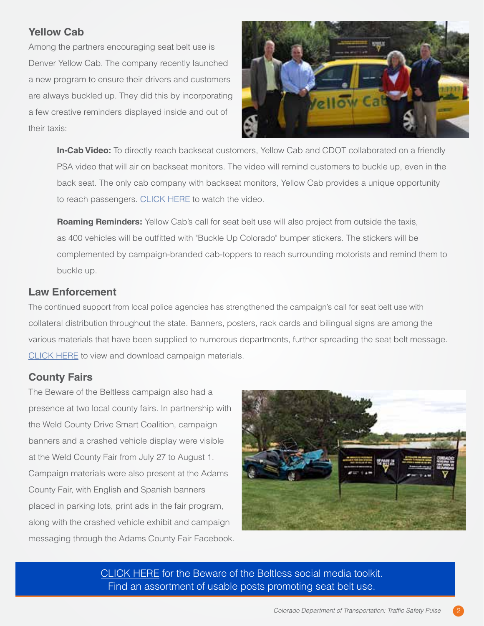#### **Yellow Cab**

Among the partners encouraging seat belt use is Denver Yellow Cab. The company recently launched a new program to ensure their drivers and customers are always buckled up. They did this by incorporating a few creative reminders displayed inside and out of their taxis:



**In-Cab Video:** To directly reach backseat customers, Yellow Cab and CDOT collaborated on a friendly PSA video that will air on backseat monitors. The video will remind customers to buckle up, even in the back seat. The only cab company with backseat monitors, Yellow Cab provides a unique opportunity to reach passengers. [CLICK HERE](https://www.dropbox.com/s/jvv2gbr29dc1jqa/Yellow%20Cab%20Seat%20Belt%20Video.mov?dl=1) to watch the video.

**Roaming Reminders:** Yellow Cab's call for seat belt use will also project from outside the taxis, as 400 vehicles will be outfitted with "Buckle Up Colorado" bumper stickers. The stickers will be complemented by campaign-branded cab-toppers to reach surrounding motorists and remind them to buckle up.

#### **Law Enforcement**

The continued support from local police agencies has strengthened the campaign's call for seat belt use with collateral distribution throughout the state. Banners, posters, rack cards and bilingual signs are among the various materials that have been supplied to numerous departments, further spreading the seat belt message. [CLICK HERE](https://www.codot.gov/safety/seatbelts-carseats/year-of-the-seat-belt/campaign-materials#collapseFour) to view and download campaign materials.

#### **County Fairs**

The Beware of the Beltless campaign also had a presence at two local county fairs. In partnership with the Weld County Drive Smart Coalition, campaign banners and a crashed vehicle display were visible at the Weld County Fair from July 27 to August 1. Campaign materials were also present at the Adams County Fair, with English and Spanish banners placed in parking lots, print ads in the fair program, along with the crashed vehicle exhibit and campaign messaging through the Adams County Fair Facebook.



[CLICK HERE](https://www.codot.gov/safety/seatbelts-carseats/year-of-the-seat-belt/social-media-toolkit) for the Beware of the Beltless social media toolkit. Find an assortment of usable posts promoting seat belt use.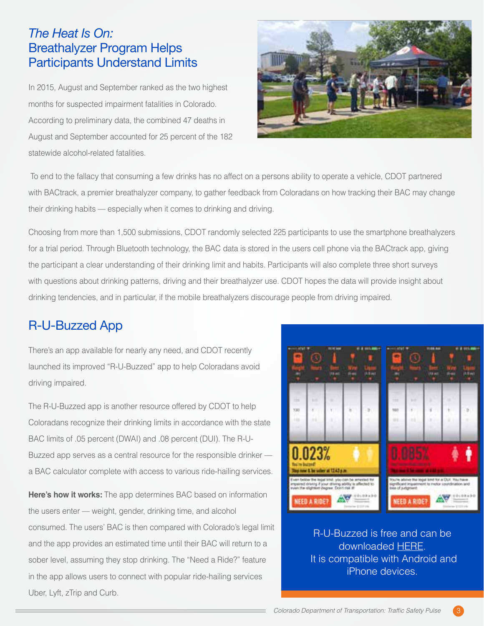#### *The Heat Is On:*  Breathalyzer Program Helps Participants Understand Limits

In 2015, August and September ranked as the two highest months for suspected impairment fatalities in Colorado. According to preliminary data, the combined 47 deaths in August and September accounted for 25 percent of the 182 statewide alcohol-related fatalities.



 To end to the fallacy that consuming a few drinks has no affect on a persons ability to operate a vehicle, CDOT partnered with BACtrack, a premier breathalyzer company, to gather feedback from Coloradans on how tracking their BAC may change their drinking habits — especially when it comes to drinking and driving.

Choosing from more than 1,500 submissions, CDOT randomly selected 225 participants to use the smartphone breathalyzers for a trial period. Through Bluetooth technology, the BAC data is stored in the users cell phone via the BACtrack app, giving the participant a clear understanding of their drinking limit and habits. Participants will also complete three short surveys with questions about drinking patterns, driving and their breathalyzer use. CDOT hopes the data will provide insight about drinking tendencies, and in particular, if the mobile breathalyzers discourage people from driving impaired.

### R-U-Buzzed App

There's an app available for nearly any need, and CDOT recently launched its improved "R-U-Buzzed" app to help Coloradans avoid driving impaired.

The R-U-Buzzed app is another resource offered by CDOT to help Coloradans recognize their drinking limits in accordance with the state BAC limits of .05 percent (DWAI) and .08 percent (DUI). The R-U-Buzzed app serves as a central resource for the responsible drinker a BAC calculator complete with access to various ride-hailing services.

**Here's how it works:** The app determines BAC based on information the users enter — weight, gender, drinking time, and alcohol consumed. The users' BAC is then compared with Colorado's legal limit and the app provides an estimated time until their BAC will return to a sober level, assuming they stop drinking. The "Need a Ride?" feature in the app allows users to connect with popular ride-hailing services Uber, Lyft, zTrip and Curb.



R-U-Buzzed is free and can be downloaded [HERE.](http://onelink.to/r-u-buzzed) It is compatible with Android and iPhone devices.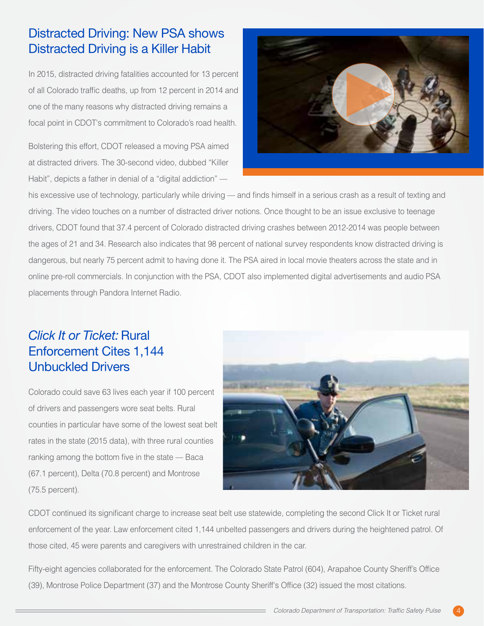## Distracted Driving: New PSA shows Distracted Driving is a Killer Habit

In 2015, distracted driving fatalities accounted for 13 percent of all Colorado traffic deaths, up from 12 percent in 2014 and one of the many reasons why distracted driving remains a focal point in CDOT's commitment to Colorado's road health.

Bolstering this effort, CDOT released a moving PSA aimed at distracted drivers. The 30-second video, dubbed "Killer Habit", depicts a father in denial of a "digital addiction" —



his excessive use of technology, particularly while driving — and finds himself in a serious crash as a result of texting and driving. The video touches on a number of distracted driver notions. Once thought to be an issue exclusive to teenage drivers, CDOT found that 37.4 percent of Colorado distracted driving crashes between 2012-2014 was people between the ages of 21 and 34. Research also indicates that 98 percent of national survey respondents know distracted driving is dangerous, but nearly 75 percent admit to having done it. The PSA aired in local movie theaters across the state and in online pre-roll commercials. In conjunction with the PSA, CDOT also implemented digital advertisements and audio PSA placements through Pandora Internet Radio.

## *Click It or Ticket: Rural* Enforcement Cites 1,144 Unbuckled Drivers

Colorado could save 63 lives each year if 100 percent of drivers and passengers wore seat belts. Rural counties in particular have some of the lowest seat belt rates in the state (2015 data), with three rural counties ranking among the bottom five in the state — Baca (67.1 percent), Delta (70.8 percent) and Montrose (75.5 percent).



CDOT continued its significant charge to increase seat belt use statewide, completing the second Click It or Ticket rural enforcement of the year. Law enforcement cited 1,144 unbelted passengers and drivers during the heightened patrol. Of those cited, 45 were parents and caregivers with unrestrained children in the car.

Fifty-eight agencies collaborated for the enforcement. The Colorado State Patrol (604), Arapahoe County Sheriff's Office (39), Montrose Police Department (37) and the Montrose County Sheriff's Office (32) issued the most citations.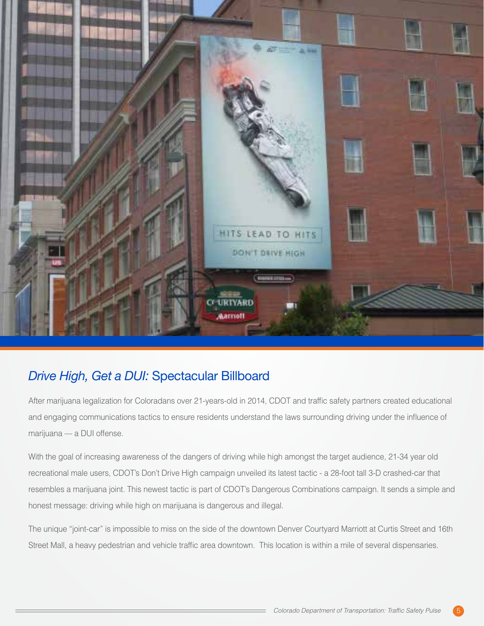

### *Drive High, Get a DUI:* Spectacular Billboard

After marijuana legalization for Coloradans over 21-years-old in 2014, CDOT and traffic safety partners created educational and engaging communications tactics to ensure residents understand the laws surrounding driving under the influence of marijuana — a DUI offense.

With the goal of increasing awareness of the dangers of driving while high amongst the target audience, 21-34 year old recreational male users, CDOT's Don't Drive High campaign unveiled its latest tactic - a 28-foot tall 3-D crashed-car that resembles a marijuana joint. This newest tactic is part of CDOT's Dangerous Combinations campaign. It sends a simple and honest message: driving while high on marijuana is dangerous and illegal.

The unique "joint-car" is impossible to miss on the side of the downtown Denver Courtyard Marriott at Curtis Street and 16th Street Mall, a heavy pedestrian and vehicle traffic area downtown. This location is within a mile of several dispensaries.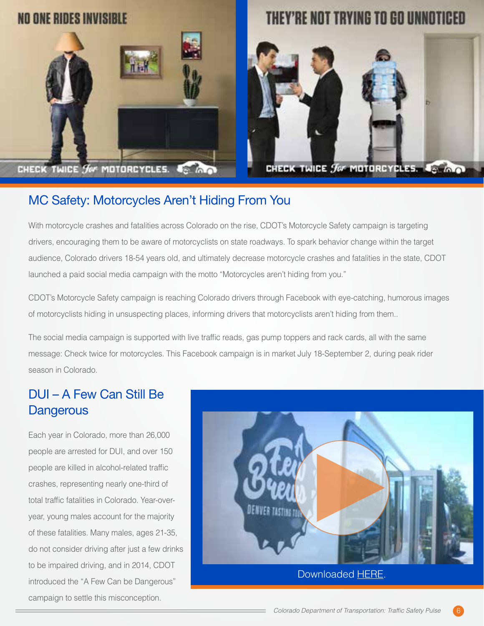

# THEY'RE NOT TRYING TO GO UNNOTICED



CHECK TWICE for MOTORCYCLES. 45 INC

#### MC Safety: Motorcycles Aren't Hiding From You

With motorcycle crashes and fatalities across Colorado on the rise, CDOT's Motorcycle Safety campaign is targeting drivers, encouraging them to be aware of motorcyclists on state roadways. To spark behavior change within the target audience, Colorado drivers 18-54 years old, and ultimately decrease motorcycle crashes and fatalities in the state, CDOT launched a paid social media campaign with the motto "Motorcycles aren't hiding from you."

CDOT's Motorcycle Safety campaign is reaching Colorado drivers through Facebook with eye-catching, humorous images of motorcyclists hiding in unsuspecting places, informing drivers that motorcyclists aren't hiding from them..

The social media campaign is supported with live traffic reads, gas pump toppers and rack cards, all with the same message: Check twice for motorcycles. This Facebook campaign is in market July 18-September 2, during peak rider season in Colorado.

#### DUI – A Few Can Still Be **Dangerous**

Each year in Colorado, more than 26,000 people are arrested for DUI, and over 150 people are killed in alcohol-related traffic crashes, representing nearly one-third of total traffic fatalities in Colorado. Year-overyear, young males account for the majority of these fatalities. Many males, ages 21-35, do not consider driving after just a few drinks to be impaired driving, and in 2014, CDOT introduced the "A Few Can be Dangerous" campaign to settle this misconception.

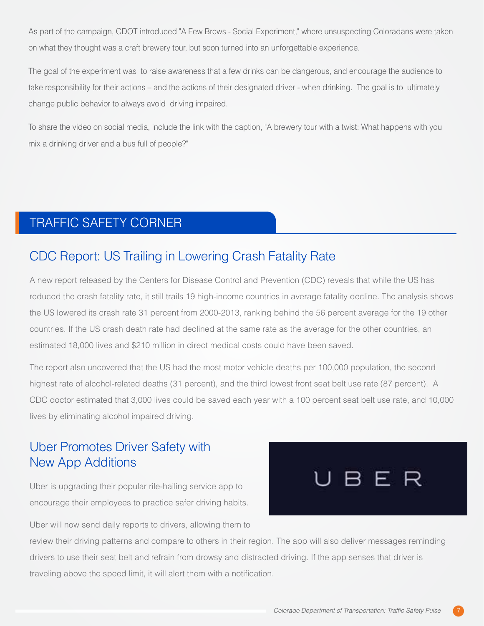As part of the campaign, CDOT introduced "A Few Brews - Social Experiment," where unsuspecting Coloradans were taken on what they thought was a craft brewery tour, but soon turned into an unforgettable experience.

The goal of the experiment was to raise awareness that a few drinks can be dangerous, and encourage the audience to take responsibility for their actions – and the actions of their designated driver - when drinking. The goal is to ultimately change public behavior to always avoid driving impaired.

To share the video on social media, include the link with the caption, "A brewery tour with a twist: What happens with you mix a drinking driver and a bus full of people?"

## TRAFFIC SAFETY CORNER

#### CDC Report: US Trailing in Lowering Crash Fatality Rate

A new report released by the Centers for Disease Control and Prevention (CDC) reveals that while the US has reduced the crash fatality rate, it still trails 19 high-income countries in average fatality decline. The analysis shows the US lowered its crash rate 31 percent from 2000-2013, ranking behind the 56 percent average for the 19 other countries. If the US crash death rate had declined at the same rate as the average for the other countries, an estimated 18,000 lives and \$210 million in direct medical costs could have been saved.

The report also uncovered that the US had the most motor vehicle deaths per 100,000 population, the second highest rate of alcohol-related deaths (31 percent), and the third lowest front seat belt use rate (87 percent). A CDC doctor estimated that 3,000 lives could be saved each year with a 100 percent seat belt use rate, and 10,000 lives by eliminating alcohol impaired driving.

### Uber Promotes Driver Safety with New App Additions

Uber is upgrading their popular rile-hailing service app to encourage their employees to practice safer driving habits.



Uber will now send daily reports to drivers, allowing them to

review their driving patterns and compare to others in their region. The app will also deliver messages reminding drivers to use their seat belt and refrain from drowsy and distracted driving. If the app senses that driver is traveling above the speed limit, it will alert them with a notification.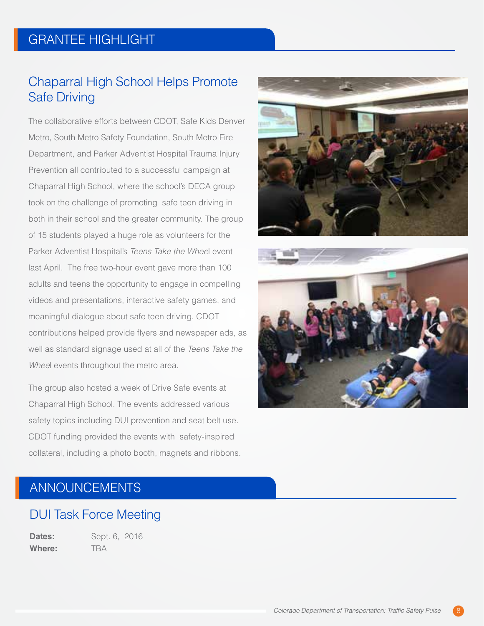## GRANTEE HIGHLIGHT

#### Chaparral High School Helps Promote Safe Driving

The collaborative efforts between CDOT, Safe Kids Denver Metro, South Metro Safety Foundation, South Metro Fire Department, and Parker Adventist Hospital Trauma Injury Prevention all contributed to a successful campaign at Chaparral High School, where the school's DECA group took on the challenge of promoting safe teen driving in both in their school and the greater community. The group of 15 students played a huge role as volunteers for the Parker Adventist Hospital's *Teens Take the Whee*l event last April. The free two-hour event gave more than 100 adults and teens the opportunity to engage in compelling videos and presentations, interactive safety games, and meaningful dialogue about safe teen driving. CDOT contributions helped provide flyers and newspaper ads, as well as standard signage used at all of the *Teens Take the Whee*l events throughout the metro area.

The group also hosted a week of Drive Safe events at Chaparral High School. The events addressed various safety topics including DUI prevention and seat belt use. CDOT funding provided the events with safety-inspired collateral, including a photo booth, magnets and ribbons.





### ANNOUNCEMENTS

#### DUI Task Force Meeting

**Dates:** Sept. 6, 2016 **Where:** TBA